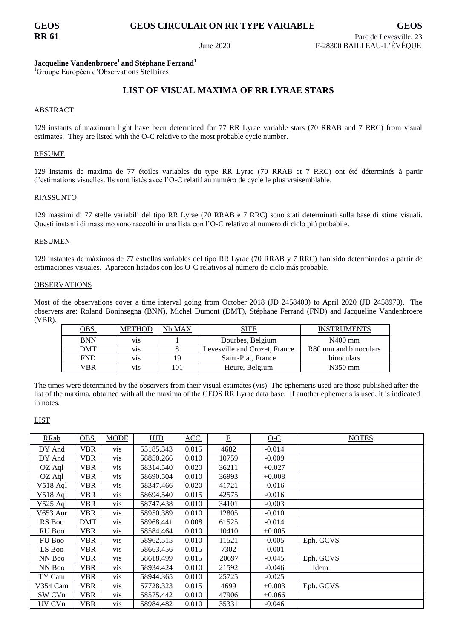# **GEOS GEOS CIRCULAR ON RR TYPE VARIABLE GEOS**

## **Jacqueline Vandenbroere<sup>1</sup>and Stéphane Ferrand<sup>1</sup>**

<sup>1</sup>Groupe Européen d'Observations Stellaires

# **LIST OF VISUAL MAXIMA OF RR LYRAE STARS**

### ABSTRACT

129 instants of maximum light have been determined for 77 RR Lyrae variable stars (70 RRAB and 7 RRC) from visual estimates. They are listed with the O-C relative to the most probable cycle number.

#### RESUME

129 instants de maxima de 77 étoiles variables du type RR Lyrae (70 RRAB et 7 RRC) ont été déterminés à partir d'estimations visuelles. Ils sont listés avec l'O-C relatif au numéro de cycle le plus vraisemblable.

#### RIASSUNTO

129 massimi di 77 stelle variabili del tipo RR Lyrae (70 RRAB e 7 RRC) sono stati determinati sulla base di stime visuali. Questi instanti di massimo sono raccolti in una lista con l'O-C relativo al numero di ciclo piú probabile.

#### RESUMEN

129 instantes de máximos de 77 estrellas variables del tipo RR Lyrae (70 RRAB y 7 RRC) han sido determinados a partir de estimaciones visuales. Aparecen listados con los O-C relativos al número de ciclo más probable.

#### OBSERVATIONS

Most of the observations cover a time interval going from October 2018 (JD 2458400) to April 2020 (JD 2458970). The observers are: Roland Boninsegna (BNN), Michel Dumont (DMT), Stéphane Ferrand (FND) and Jacqueline Vandenbroere (VBR).

| OBS.       | <b>METHOD</b>    | Nb MAX | SITE                          | <b>INSTRUMENTS</b>    |
|------------|------------------|--------|-------------------------------|-----------------------|
| <b>BNN</b> | V <sub>1</sub> S |        | Dourbes, Belgium              | $N400$ mm             |
| <b>DMT</b> | V <sub>1</sub> S |        | Levesville and Crozet, France | R80 mm and binoculars |
| <b>FND</b> | V <sub>1</sub> S | 19     | Saint-Piat, France            | binoculars            |
| VBR        | V <sub>1</sub> S | 101    | Heure, Belgium                | $N350$ mm             |

The times were determined by the observers from their visual estimates (vis). The ephemeris used are those published after the list of the maxima, obtained with all the maxima of the GEOS RR Lyrae data base. If another ephemeris is used, it is indicated in notes.

### LIST

| RRab          | OBS.       | <b>MODE</b>     | HJD       | ACC.  | $E_{\parallel}$ | $0-C$    | <b>NOTES</b> |
|---------------|------------|-----------------|-----------|-------|-----------------|----------|--------------|
| DY And        | VBR        | vis             | 55185.343 | 0.015 | 4682            | $-0.014$ |              |
| DY And        | VBR        | <b>vis</b>      | 58850.266 | 0.010 | 10759           | $-0.009$ |              |
| OZ Aql        | VBR.       | V <sub>is</sub> | 58314.540 | 0.020 | 36211           | $+0.027$ |              |
| OZ Aql        | <b>VBR</b> | <b>vis</b>      | 58690.504 | 0.010 | 36993           | $+0.008$ |              |
| V518 Aql      | <b>VBR</b> | <b>vis</b>      | 58347.466 | 0.020 | 41721           | $-0.016$ |              |
| $V518$ Aql    | <b>VBR</b> | vis             | 58694.540 | 0.015 | 42575           | $-0.016$ |              |
| $V525$ Aql    | <b>VBR</b> | V <sub>is</sub> | 58747.438 | 0.010 | 34101           | $-0.003$ |              |
| V653 Aur      | <b>VBR</b> | <b>vis</b>      | 58950.389 | 0.010 | 12805           | $-0.010$ |              |
| RS Boo        | <b>DMT</b> | vis             | 58968.441 | 0.008 | 61525           | $-0.014$ |              |
| RU Boo        | <b>VBR</b> | <b>vis</b>      | 58584.464 | 0.010 | 10410           | $+0.005$ |              |
| <b>FU Boo</b> | <b>VBR</b> | <b>vis</b>      | 58962.515 | 0.010 | 11521           | $-0.005$ | Eph. GCVS    |
| LS Boo        | VBR.       | <b>vis</b>      | 58663.456 | 0.015 | 7302            | $-0.001$ |              |
| NN Boo        | VBR        | vis             | 58618.499 | 0.015 | 20697           | $-0.045$ | Eph. GCVS    |
| NN Boo        | <b>VBR</b> | vis             | 58934.424 | 0.010 | 21592           | $-0.046$ | Idem         |
| TY Cam        | <b>VBR</b> | <b>vis</b>      | 58944.365 | 0.010 | 25725           | $-0.025$ |              |
| V354 Cam      | <b>VBR</b> | vis             | 57728.323 | 0.015 | 4699            | $+0.003$ | Eph. GCVS    |
| SW CVn        | <b>VBR</b> | <b>vis</b>      | 58575.442 | 0.010 | 47906           | $+0.066$ |              |
| UV CVn        | <b>VBR</b> | vis             | 58984.482 | 0.010 | 35331           | $-0.046$ |              |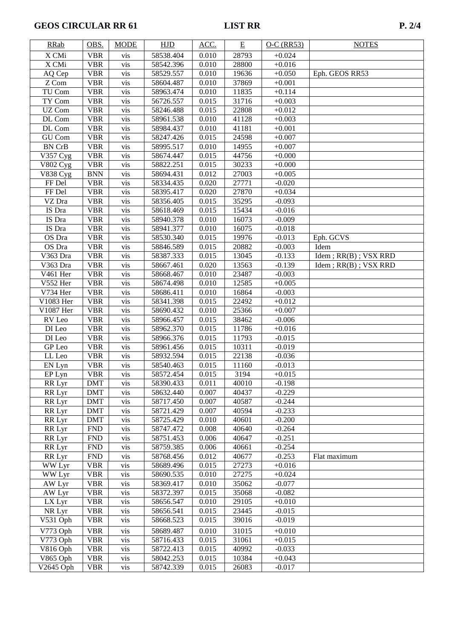# **GEOS CIRCULAR RR 61** LIST RR

| <b>RRab</b>           | OBS.       | <b>MODE</b> | <b>HJD</b> | ACC.  | Ε     | $O-C$ (RR53) | <b>NOTES</b>                   |
|-----------------------|------------|-------------|------------|-------|-------|--------------|--------------------------------|
| X CMi                 | <b>VBR</b> | <b>vis</b>  | 58538.404  | 0.010 | 28793 | $+0.024$     |                                |
| X CMi                 | <b>VBR</b> | vis         | 58542.396  | 0.010 | 28800 | $+0.016$     |                                |
| AQ Cep                | <b>VBR</b> | vis         | 58529.557  | 0.010 | 19636 | $+0.050$     | Eph. GEOS RR53                 |
| Z Com                 | <b>VBR</b> | vis         | 58604.487  | 0.010 | 37869 | $+0.001$     |                                |
| TU Com                | <b>VBR</b> | vis         | 58963.474  | 0.010 | 11835 | $+0.114$     |                                |
| TY Com                | <b>VBR</b> | vis         | 56726.557  | 0.015 | 31716 | $+0.003$     |                                |
| UZ Com                | <b>VBR</b> | vis         | 58246.488  | 0.015 | 22808 | $+0.012$     |                                |
| DL Com                | <b>VBR</b> | vis         | 58961.538  | 0.010 | 41128 | $+0.003$     |                                |
| DL Com                | <b>VBR</b> | vis         | 58984.437  | 0.010 | 41181 | $+0.001$     |                                |
| GU Com                | <b>VBR</b> | vis         | 58247.426  | 0.015 | 24598 | $+0.007$     |                                |
| <b>BN CrB</b>         | <b>VBR</b> | vis         | 58995.517  | 0.010 | 14955 | $+0.007$     |                                |
| $\overline{V357}$ Cyg | <b>VBR</b> | vis         | 58674.447  | 0.015 | 44756 | $+0.000$     |                                |
| $\overline{V802}$ Cyg | <b>VBR</b> | vis         | 58822.251  | 0.015 | 30233 | $+0.000$     |                                |
| <b>V838 Cyg</b>       | <b>BNN</b> | vis         | 58694.431  | 0.012 | 27003 | $+0.005$     |                                |
| FF Del                | <b>VBR</b> | vis         | 58334.435  | 0.020 | 27771 | $-0.020$     |                                |
| FF Del                | <b>VBR</b> | vis         | 58395.417  | 0.020 | 27870 | $+0.034$     |                                |
| VZ Dra                | <b>VBR</b> | vis         | 58356.405  | 0.015 | 35295 | $-0.093$     |                                |
| IS Dra                | <b>VBR</b> | vis         | 58618.469  | 0.015 | 15434 | $-0.016$     |                                |
| IS Dra                | <b>VBR</b> | vis         | 58940.378  | 0.010 | 16073 | $-0.009$     |                                |
| IS Dra                | <b>VBR</b> | vis         | 58941.377  | 0.010 | 16075 | $-0.018$     |                                |
| OS Dra                | <b>VBR</b> | vis         | 58530.340  | 0.015 | 19976 | $-0.013$     | Eph. GCVS                      |
| OS Dra                | <b>VBR</b> | vis         | 58846.589  | 0.015 | 20882 | $-0.003$     | Idem                           |
| V363 Dra              | <b>VBR</b> | vis         | 58387.333  | 0.015 | 13045 | $-0.133$     | $Idem$ ; $RR(B)$ ; $VSX$ $RRD$ |
| V363 Dra              | <b>VBR</b> | vis         | 58667.461  | 0.020 | 13563 | $-0.139$     | $Idem$ ; $RR(B)$ ; $VSX$ $RRD$ |
| V461 Her              | <b>VBR</b> | vis         | 58668.467  | 0.010 | 23487 | $-0.003$     |                                |
| V552 Her              | <b>VBR</b> | vis         | 58674.498  | 0.010 | 12585 | $+0.005$     |                                |
| V734 Her              | <b>VBR</b> | vis         | 58686.411  | 0.010 | 16864 | $-0.003$     |                                |
| V1083 Her             | <b>VBR</b> | vis         | 58341.398  | 0.015 | 22492 | $+0.012$     |                                |
| V1087 Her             | <b>VBR</b> | vis         | 58690.432  | 0.010 | 25366 | $+0.007$     |                                |
| RV Leo                | <b>VBR</b> | vis         | 58966.457  | 0.015 | 38462 | $-0.006$     |                                |
| DI Leo                | <b>VBR</b> | vis         | 58962.370  | 0.015 | 11786 | $+0.016$     |                                |
| DI Leo                | <b>VBR</b> | vis         | 58966.376  | 0.015 | 11793 | $-0.015$     |                                |
| GP Leo                | <b>VBR</b> | vis         | 58961.456  | 0.015 | 10311 | $-0.019$     |                                |
| LL Leo                | <b>VBR</b> | vis         | 58932.594  | 0.015 | 22138 | $-0.036$     |                                |
| EN Lyn                | <b>VBR</b> | vis         | 58540.463  | 0.015 | 11160 | $-0.013$     |                                |
| EP Lyn                | <b>VBR</b> | vis         | 58572.454  | 0.015 | 3194  | $+0.015$     |                                |
| RR Lyr                | <b>DMT</b> | <b>vis</b>  | 58390.433  | 0.011 | 40010 | $-0.198$     |                                |
| RR Lyr                | <b>DMT</b> | vis         | 58632.440  | 0.007 | 40437 | $-0.229$     |                                |
| RR Lyr                | <b>DMT</b> | vis         | 58717.450  | 0.007 | 40587 | $-0.244$     |                                |
| RR Lyr                | <b>DMT</b> | vis         | 58721.429  | 0.007 | 40594 | $-0.233$     |                                |
| RR Lyr                | <b>DMT</b> | vis         | 58725.429  | 0.010 | 40601 | $-0.200$     |                                |
| RR Lyr                | <b>FND</b> | vis         | 58747.472  | 0.008 | 40640 | $-0.264$     |                                |
| RR Lyr                | <b>FND</b> | vis         | 58751.453  | 0.006 | 40647 | $-0.251$     |                                |
| RR Lyr                | <b>FND</b> | vis         | 58759.385  | 0.006 | 40661 | $-0.254$     |                                |
| RR Lyr                | <b>FND</b> | vis         | 58768.456  | 0.012 | 40677 | $-0.253$     | Flat maximum                   |
| WW Lyr                | <b>VBR</b> | vis         | 58689.496  | 0.015 | 27273 | $+0.016$     |                                |
| WW Lyr                | <b>VBR</b> | vis         | 58690.535  | 0.010 | 27275 | $+0.024$     |                                |
| AW Lyr                | <b>VBR</b> | vis         | 58369.417  | 0.010 | 35062 | $-0.077$     |                                |
| AW Lyr                | <b>VBR</b> | vis         | 58372.397  | 0.015 | 35068 | $-0.082$     |                                |
| LX Lyr                | <b>VBR</b> | vis         | 58656.547  | 0.010 | 29105 | $+0.010$     |                                |
| NR Lyr                | <b>VBR</b> | vis         | 58656.541  | 0.015 | 23445 | $-0.015$     |                                |
| V531 Oph              | <b>VBR</b> | vis         | 58668.523  | 0.015 | 39016 | $-0.019$     |                                |
| V773 Oph              | <b>VBR</b> | vis         | 58689.487  | 0.010 | 31015 | $+0.010$     |                                |
| V773 Oph              | <b>VBR</b> | vis         | 58716.433  | 0.015 | 31061 | $+0.015$     |                                |
| V816 Oph              | <b>VBR</b> | vis         | 58722.413  | 0.015 | 40992 | $-0.033$     |                                |
| V865 Oph              | <b>VBR</b> | vis         | 58042.253  | 0.015 | 10384 | $+0.043$     |                                |
| V2645 Oph             | <b>VBR</b> | vis         | 58742.339  | 0.015 | 26083 | $-0.017$     |                                |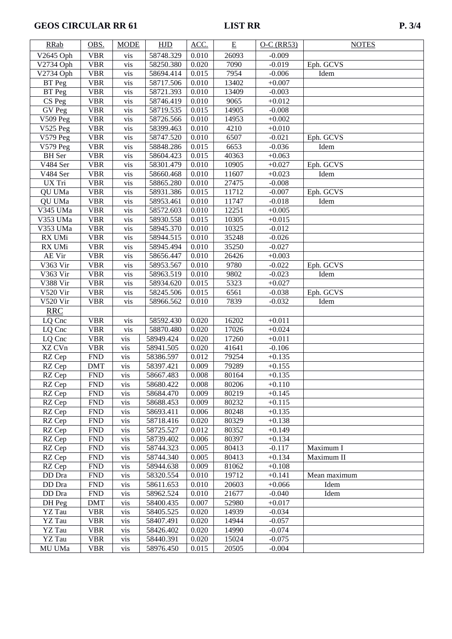# **GEOS CIRCULAR RR 61** LIST RR

| <b>RRab</b>            | OBS.       | <b>MODE</b> | <b>HJD</b> | ACC.  | E     | $O-C$ (RR53) | <b>NOTES</b> |
|------------------------|------------|-------------|------------|-------|-------|--------------|--------------|
| V2645 Oph              | <b>VBR</b> | vis         | 58748.329  | 0.010 | 26093 | $-0.009$     |              |
| V2734 Oph              | <b>VBR</b> | vis         | 58250.380  | 0.020 | 7090  | $-0.019$     | Eph. GCVS    |
| V2734 Oph              | <b>VBR</b> | vis         | 58694.414  | 0.015 | 7954  | $-0.006$     | Idem         |
| BT Peg                 | <b>VBR</b> | vis         | 58717.506  | 0.010 | 13402 | $+0.007$     |              |
| $\overline{B}T$ Peg    | <b>VBR</b> | vis         | 58721.393  | 0.010 | 13409 | $-0.003$     |              |
| CS Peg                 | <b>VBR</b> | vis         | 58746.419  | 0.010 | 9065  | $+0.012$     |              |
| GV Peg                 | <b>VBR</b> | vis         | 58719.535  | 0.015 | 14905 | $-0.008$     |              |
| <b>V509 Peg</b>        | <b>VBR</b> | vis         | 58726.566  | 0.010 | 14953 | $+0.002$     |              |
| $\overline{V}$ 525 Peg | <b>VBR</b> | vis         | 58399.463  | 0.010 | 4210  | $+0.010$     |              |
| $\overline{V579}$ Peg  | <b>VBR</b> | vis         | 58747.520  | 0.010 | 6507  | $-0.021$     | Eph. GCVS    |
| V579 Peg               | <b>VBR</b> | vis         | 58848.286  | 0.015 | 6653  | $-0.036$     | Idem         |
| <b>BH</b> Ser          | <b>VBR</b> | vis         | 58604.423  | 0.015 | 40363 | $+0.063$     |              |
| V484 Ser               | <b>VBR</b> | vis         | 58301.479  | 0.010 | 10905 | $+0.027$     | Eph. GCVS    |
| $\overline{V}$ 484 Ser | <b>VBR</b> | vis         | 58660.468  | 0.010 | 11607 | $+0.023$     | Idem         |
| UX Tri                 | <b>VBR</b> | vis         | 58865.280  | 0.010 | 27475 | $-0.008$     |              |
| QU UMa                 | <b>VBR</b> | vis         | 58931.386  | 0.015 | 11712 | $-0.007$     | Eph. GCVS    |
| QU UMa                 | <b>VBR</b> | vis         | 58953.461  | 0.010 | 11747 | $-0.018$     | Idem         |
| $\overline{V345}$ UMa  | <b>VBR</b> | vis         | 58572.603  | 0.010 | 12251 | $+0.005$     |              |
| V353 UMa               | <b>VBR</b> | vis         | 58930.558  | 0.015 | 10305 | $+0.015$     |              |
| V353 UMa               | <b>VBR</b> | vis         | 58945.370  | 0.010 | 10325 | $-0.012$     |              |
| RX UMi                 | <b>VBR</b> | vis         | 58944.515  | 0.010 | 35248 | $-0.026$     |              |
| RX UMi                 | <b>VBR</b> | vis         | 58945.494  | 0.010 | 35250 | $-0.027$     |              |
| AE Vir                 | <b>VBR</b> | vis         | 58656.447  | 0.010 | 26426 | $+0.003$     |              |
| V363 Vir               | <b>VBR</b> | vis         | 58953.567  | 0.010 | 9780  | $-0.022$     | Eph. GCVS    |
| V363 Vir               | <b>VBR</b> | vis         | 58963.519  | 0.010 | 9802  | $-0.023$     | Idem         |
| V388 Vir               | <b>VBR</b> | vis         | 58934.620  | 0.015 | 5323  | $+0.027$     |              |
| <b>V520 Vir</b>        | <b>VBR</b> | vis         | 58245.506  | 0.015 | 6561  | $-0.038$     | Eph. GCVS    |
| <b>V520 Vir</b>        | <b>VBR</b> | vis         | 58966.562  | 0.010 | 7839  | $-0.032$     | Idem         |
| <b>RRC</b>             |            |             |            |       |       |              |              |
| LQ Cnc                 | <b>VBR</b> | vis         | 58592.430  | 0.020 | 16202 | $+0.011$     |              |
| LQ Cnc                 | <b>VBR</b> | vis         | 58870.480  | 0.020 | 17026 | $+0.024$     |              |
| LQ Cnc                 | <b>VBR</b> | vis         | 58949.424  | 0.020 | 17260 | $+0.011$     |              |
| XZ CVn                 | <b>VBR</b> | vis         | 58941.505  | 0.020 | 41641 | $-0.106$     |              |
| RZ Cep                 | <b>FND</b> | vis         | 58386.597  | 0.012 | 79254 | $+0.135$     |              |
| RZ Cep                 | <b>DMT</b> | vis         | 58397.421  | 0.009 | 79289 | $+0.155$     |              |
| RZ Cep                 | <b>FND</b> | vis         | 58667.483  | 0.008 | 80164 | $+0.135$     |              |
| RZ Cep                 | <b>FND</b> | <b>vis</b>  | 58680.422  | 0.008 | 80206 | $+0.110$     |              |
| RZ Cep                 | <b>FND</b> | vis         | 58684.470  | 0.009 | 80219 | $+0.145$     |              |
| RZ Cep                 | <b>FND</b> | vis         | 58688.453  | 0.009 | 80232 | $+0.115$     |              |
| RZ Cep                 | <b>FND</b> | vis         | 58693.411  | 0.006 | 80248 | $+0.135$     |              |
| RZ Cep                 | <b>FND</b> | vis         | 58718.416  | 0.020 | 80329 | $+0.138$     |              |
| RZ Cep                 | <b>FND</b> | vis         | 58725.527  | 0.012 | 80352 | $+0.149$     |              |
| RZ Cep                 | <b>FND</b> | vis         | 58739.402  | 0.006 | 80397 | $+0.134$     |              |
| RZ Cep                 | <b>FND</b> | vis         | 58744.323  | 0.005 | 80413 | $-0.117$     | Maximum I    |
| RZ Cep                 | <b>FND</b> | vis         | 58744.340  | 0.005 | 80413 | $+0.134$     | Maximum II   |
| RZ Cep                 | <b>FND</b> | vis         | 58944.638  | 0.009 | 81062 | $+0.108$     |              |
| DD Dra                 | <b>FND</b> | vis         | 58320.554  | 0.010 | 19712 | $+0.141$     | Mean maximum |
| DD Dra                 | <b>FND</b> | vis         | 58611.653  | 0.010 | 20603 | $+0.066$     | Idem         |
| DD Dra                 | <b>FND</b> | vis         | 58962.524  | 0.010 | 21677 | $-0.040$     | Idem         |
| DH Peg                 | <b>DMT</b> | vis         | 58400.435  | 0.007 | 52980 | $+0.017$     |              |
| YZ Tau                 | <b>VBR</b> | vis         | 58405.525  | 0.020 | 14939 | $-0.034$     |              |
| <b>YZ</b> Tau          | <b>VBR</b> | vis         | 58407.491  | 0.020 | 14944 | $-0.057$     |              |
| <b>YZ</b> Tau          | <b>VBR</b> | vis         | 58426.402  | 0.020 | 14990 | $-0.074$     |              |
| <b>YZ</b> Tau          | <b>VBR</b> | vis         | 58440.391  | 0.020 | 15024 | $-0.075$     |              |
| MU UMa                 | <b>VBR</b> | vis         | 58976.450  | 0.015 | 20505 | $-0.004$     |              |